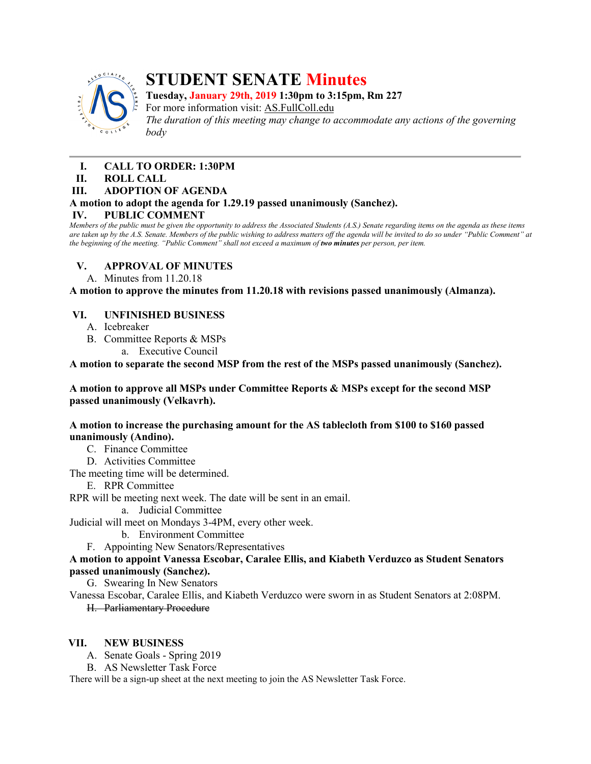

# **STUDENT SENATE Minutes**

**Tuesday, January 29th, 2019 1:30pm to 3:15pm, Rm 227**

For more information visit: AS.FullColl.edu

*The duration of this meeting may change to accommodate any actions of the governing body*

- **I. CALL TO ORDER: 1:30PM**
- **II. ROLL CALL**

## **III. ADOPTION OF AGENDA**

# **A motion to adopt the agenda for 1.29.19 passed unanimously (Sanchez).**

# **IV. PUBLIC COMMENT**

*Members of the public must be given the opportunity to address the Associated Students (A.S.) Senate regarding items on the agenda as these items are taken up by the A.S. Senate. Members of the public wishing to address matters off the agenda will be invited to do so under "Public Comment" at the beginning of the meeting. "Public Comment" shall not exceed a maximum of two minutes per person, per item.*

# **V. APPROVAL OF MINUTES**

A. Minutes from 11.20.18

**A motion to approve the minutes from 11.20.18 with revisions passed unanimously (Almanza).**

## **VI. UNFINISHED BUSINESS**

- A. Icebreaker
- B. Committee Reports & MSPs
	- a. Executive Council

**A motion to separate the second MSP from the rest of the MSPs passed unanimously (Sanchez).**

**A motion to approve all MSPs under Committee Reports & MSPs except for the second MSP passed unanimously (Velkavrh).**

## **A motion to increase the purchasing amount for the AS tablecloth from \$100 to \$160 passed unanimously (Andino).**

C. Finance Committee

D. Activities Committee

The meeting time will be determined.

#### E. RPR Committee

RPR will be meeting next week. The date will be sent in an email.

a. Judicial Committee

Judicial will meet on Mondays 3-4PM, every other week.

- b. Environment Committee
- F. Appointing New Senators/Representatives

## **A motion to appoint Vanessa Escobar, Caralee Ellis, and Kiabeth Verduzco as Student Senators passed unanimously (Sanchez).**

G. Swearing In New Senators

Vanessa Escobar, Caralee Ellis, and Kiabeth Verduzco were sworn in as Student Senators at 2:08PM. H. Parliamentary Procedure

# **VII. NEW BUSINESS**

A. Senate Goals - Spring 2019

B. AS Newsletter Task Force

There will be a sign-up sheet at the next meeting to join the AS Newsletter Task Force.